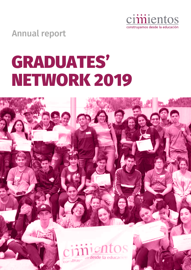

Annual report

# GRADUATES' NETWORK 2019

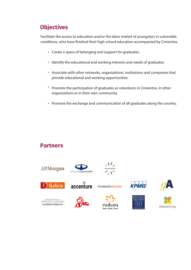# **Objectives**

Facilitate the access to education and/or the labor market of youngsters in vulnerable conditions, who have finished their high school education accompanied by Cimientos.

- Create a space of belonging and support for graduates.
- Identify the educational and working interests and needs of graduates.
- Associate with other networks, organizations, institutions and companies that provide educational and working opportunities.
- Promote the participation of graduates as volunteers in Cimientos, in other organizations or in their own community.
- Promote the exchange and communication of all graduates along the country.

### **Partners**











**Fundación Acindar** 













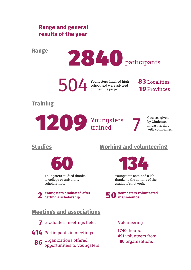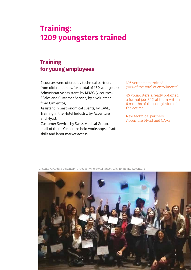# **Training: 1209 youngsters trained**

# **Training for young employees**

7 courses were offered by technical partners from different areas, for a total of 150 youngsters: Administrative assistant, by KPMG (2 courses); SSales and Customer Service, by a volunteer from Cimientos;

Assistant in Gastronomical Events, by CAVE; Training in the Hotel Industry, by Accenture and Hyatt;

Customer Service, by Swiss Medical Group. In all of them, Cimientos held workshops of soft skills and labor market access.

136 youngsters trained (90% of the total of enrollments).

45 youngsters already obtained a formal job: 84% of them within 6 months of the completion of the course.

New technical partners: Accenture, Hyatt and CAVE.



Diploma Awarding Ceremony. Introduction to Hotel Industry, by Hyatt and Accenture.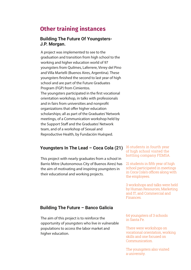# **Other training instances**

#### **Building The Future Of Youngsters-J.P. Morgan.**

A project was implemented to see to the graduation and transition from high school to the working and higher education world of 97 youngsters from Quilmes, Laferrere, Virrey del Pino and Villa Martelli (Buenos Aires, Argentina). These youngsters finished the second to last year of high school and are part of the Future Graduates Program (FGP) from Cimientos. The youngsters participated in the first vocational orientation workshop, in talks with professionals and in fairs from universities and nonprofit organizations that offer higher education scholarships; all as part of the Graduates' Network meetings, of a Communication workshop held by the Support Staff and the Graduates' Network team, and of a workshop of Sexual and Reproductive Health, by Fundación Huésped.

#### **Youngsters In The Lead – Coca Cola (21)**

This project with nearly graduates from a school in Barrio Mitre (Autonomous City of Buenos Aires) has the aim of motivating and inspiring youngsters in their educational and working projects.

16 students in fourth year of high school visited the bottling company FEMSA.

21 students in fifth year of high school participated in meetings in Coca Cola's offices along with the employees.

3 workshops and talks were held by Human Resources, Marketing and IT, and Commercial and Finances.

#### **Building The Future – Banco Galicia**

The aim of this project is to reinforce the opportunity of youngsters who live in vulnerable populations to access the labor market and higher education.

64 youngsters of 3 schools in Santa Fe.

There were workshops on vocational orientation, working skills and one focused on Communication.

The youngsters also visited a university.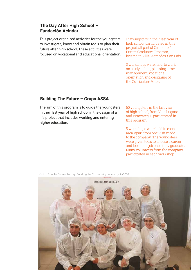#### **The Day After High School – Fundación Acindar**

This project organized activities for the youngsters to investigate, know and obtain tools to plan their future after high school. These activities were focused on vocational and educational orientation. 17 youngsters in their last year of high school participated in this project, all part of Cimientos' Future Graduates Program, located in Villa Mercedes, San Luis.

3 workshops were held, to work on study habits, planning, time management, vocational orientation and designing of the Curriculum Vitae.

#### **Building The Future – Grupo ASSA**

The aim of this program is to guide the youngsters in their last year of high school in the design of a life project that includes working and entering higher education.

60 youngsters in the last year of high school, from Villa Lugano and Berazategui, participated in this program.

5 workshops were held in each area, apart from one visit made to the company. The youngsters were given tools to choose a career and look for a job once they graduate. Many volunteers from the company participated in each workshop.



Visit to Brioche Doree's factory, Building the Community course, by AA2000.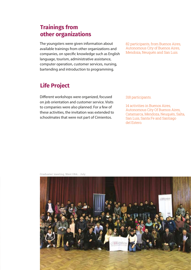## **Trainings from other organizations**

The youngsters were given information about available trainings from other organizations and companies, on specific knowledge such as English language, tourism, administrative assistance, computer operation, customer services, nursing, bartending and introduction to programming.

# **Life Project**

Different workshops were organized, focused on job orientation and customer service. Visits to companies were also planned. For a few of these activities, the invitation was extended to schoolmates that were not part of Cimientos.

82 participants, from Buenos Aires, Autonomous City of Buenos Aires, Mendoza, Neuquén and San Luis.

#### 318 participants.

14 activities in Buenos Aires, Autonomous City Of Buenos Aires, Catamarca, Mendoza, Neuquén, Salta, San Luis, Santa Fe and Santiago del Estero.

Graduates' meeting, West GBA - July

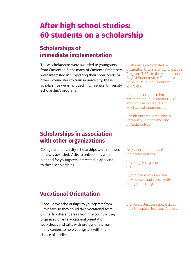# **After high school studies: 60 students on a scholarship**

## **Scholarships of immediate implementation**

These scholarships were awarded to youngsters from Cimientos. Since many of Cimientos' members were interested in supporting their sponsored - or other - youngsters to train in university, these scholarships were included in Cimientos' University Scholarship's program.

18 students participated in Cimientos' University Scholarship's Program (USP), in the Autonomous City Of Buenos Aires, Buenos Aires, Chubut, Neuquén, Tucuman and Salta.

1 student completed his participation in Cimientos' USP, and is close to graduate in Mechanical Engineering.

2 students graduated, one in Computer Science and one in Architecture.

### **Scholarships in association with other organizations**

College and university scholarships were renewed or newly awarded. Visits to universities were planned for youngsters interested in applying to these scholarships.

28 youngsters renewed their scholarships.

14 youngsters gained a scholarship.

1 young woman graduated in Medicine and is currently doing internship.

## **Vocational Orientation**

Víaedu gave scholarships to youngsters from Cimientos so they could take vocational tests online. In different areas from the country, they organized on-site vocational orientation workshops and talks with professionals from many careers to help youngsters with their choice of studies.

142 youngsters on scholarships took the online test from Víaedu.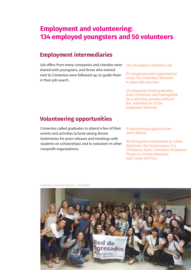# **Employment and volunteering: 134 employed youngsters and 50 volunteers**

## **Employment intermediaries**

Job offers from many companies and charities were shared with youngsters, and those who trained next to Cimientos were followed up, to guide them in their job search.

134 youngsters obtained a job

51 companies and organizations chose the Graduates' Network to share job searches.

21 companies hired graduates from Cimientos who had applied for a selection process without the intervention of the Graduates' Network.

# **Volunteering opportunities**

Cimientos called graduates to attend a few of their events and activities (a fund raising dinner, testimonies for press releases and meetings with students on scholarships) and to volunteer in other nonprofit organizations.

8 volunteering opportunities were offered.

50 youngsters volunteered in Añelo, Bariloche, the Autonomous City Of Buenos Aires, Comodoro Rivadavia, Florencio Varela, Mendoza and Virrey del Pino.

Graduates' meeting, Rosario - November

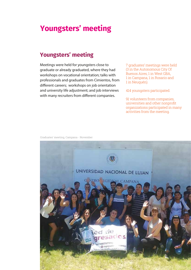# **Youngsters' meeting**

### **Youngsters' meeting**

Meetings were held for youngsters close to graduate or already graduated, where they had workshops on vocational orientation; talks with professionals and graduates from Cimientos, from different careers; workshops on job orientation and university life adjustment; and job interviews with many recruiters from different companies.

7 graduates' meetings were held (3 in the Autonomous City Of Buenos Aires, 1 in West GBA, 1 in Campana, 1 in Rosario and 1 in Neuquén).

414 youngsters participated.

91 volunteers from companies, universities and other nonprofit organizations participated in many activities from the meeting.

Graduates' meeting, Campana - November

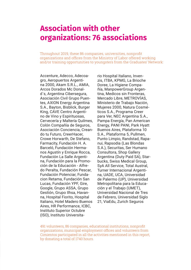# **Association with other organizations: 76 associations**

Throughout 2019, these 86 companies, universities, nonprofit organizations and offices from the Ministry of Labor offered working and/or training opportunities to youngsters from the Graduates' Network:

Accenture, Adecco, Adecoagro, Aeropuertos Argentina 2000, Akam S.R.L., AMIA, Arcos Dorados Mc Donald`s, Argentina Cibersegura, Asociación Civil Grupo Puentes, AXION Energy Argentina S.A., Bayton, Bisblick, Burger King, CAVE Centro Argentino de Vino y Espirituosas, Cervecería y Maltería Quilmes, Colón Compañía de Seguros, Asociación Conciencia, Creando tu Futuro, CreerHacer, Crowe Horwarth, De Stefano, Farmacity, Fundación H. A. Barceló, Fundación Hermanos Agustín y Enrique Rocca, Fundación La Salle Argentina, Fundación para la Promoción de la Educación - Alfredo Peralta, Fundación Pescar, Fundación Potenciar, Fundacion Retama, Fundación San Lucas, Fundación YPF, Gire, Google, Grupo ASSA, Grupo Gestión, Grupo Ilhsa, Havanna, Hospital Fiorito, Hospital Italiano, Hotel Madero Buenos Aires, HR Performance, ICBC, Instituto Superior Octubre (ISO), Instituto Universitario Hospital Italiano, Invenzis, ITBA, KPMG, La Brioche Doree, La Higiene Compañía, ManpowerGroup Argentina, Medicos sin Fronteras, Mercado Libre, METROVÍAS, Ministerio de Trabajo Nación, Mujeres 2000, Natura Cosméticos S.A., Programa Creer para Ver, NEC Argentina S.A., Pampa Energía, Pan American Energy, PANI PANI, Park Hyatt Buenos Aires, Plataforma 10 S.A., Plataforma 5, Pullmen, Punto Limpio, Randstad, Rapanui, Rapsodia (Las Blondas S.A.), Securitas, Ser Humano Consultora, Shop Gallery Argentina (Duty Paid SA), Starbucks, Swiss Medical Group, SyA All Service, Total Austral, Turner Internacional Argentina, UADE, UCA, Universidad de Palermo (UP), Universidad Metropolitana para la Educación y el Trabajo (UMET), Universidad Nacional de Tres de Febrero, Universidad Siglo 21, ViaEdu, Zurich Seguros

491 volunteers, 86 companies, educational institutions, nonprofit organizations, municipal employment offices and volunteers from Cimientos participated in all the activities mentioned in this report, by donating a total of 1740 hours.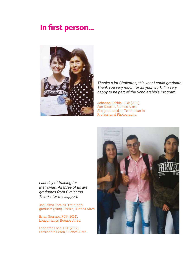# **In first person…**



*Thanks a lot Cimientos, this year I could graduate! Thank you very much for all your work, I'm very happy to be part of the Scholarship's Program.*

Johanna Rabbia- FGP (2012), San Nicolás, Buenos Aires. She graduated as Technician in Professional Photography.

*Last day of training for Metrovías. All three of us are graduates from Cimientos. Thanks for the support!*

Jaquelina Torales. Training's graduate (2018). Ezeiza, Buenos Aires

Brian Serrano. FGP (2014), Longchamps, Buenos Aires.

Leonardo Lobo. FGP (2017), Presidente Perón, Buenos Aires.

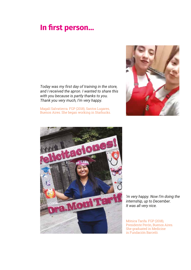# **In first person…**

*Today was my first day of training in the store, and I received the apron. I wanted to share this with you because is partly thanks to you. Thank you very much, I'm very happy.*

Magalí Salvatierra. FGP (2018), Santos Lugares, Buenos Aires. She began working in Starbucks.





*'m very happy. Now I'm doing the internship, up to December. It was all very nice.* 

Mónica Tarifa. FGP (2018), Presidente Perón, Buenos Aires. She graduated in Medicine in Fundación Barceló.